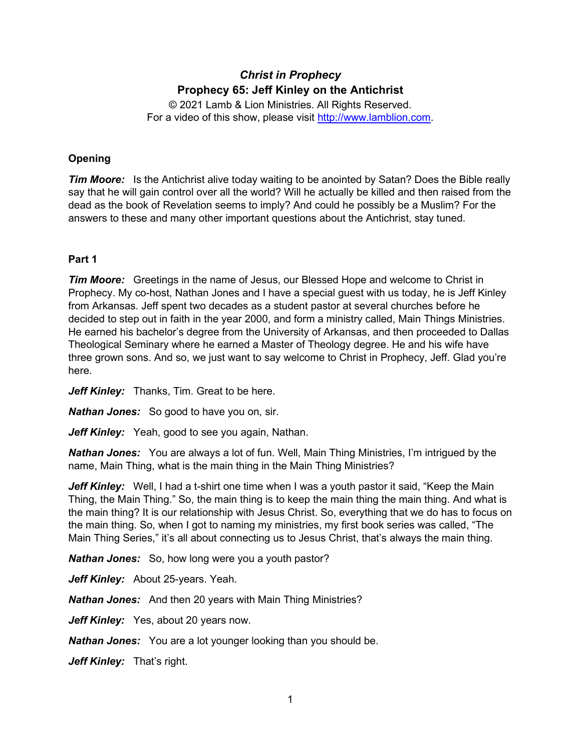# *Christ in Prophecy* **Prophecy 65: Jeff Kinley on the Antichrist**

© 2021 Lamb & Lion Ministries. All Rights Reserved. For a video of this show, please visit [http://www.lamblion.com.](http://www.lamblion.com/)

## **Opening**

*Tim Moore:* Is the Antichrist alive today waiting to be anointed by Satan? Does the Bible really say that he will gain control over all the world? Will he actually be killed and then raised from the dead as the book of Revelation seems to imply? And could he possibly be a Muslim? For the answers to these and many other important questions about the Antichrist, stay tuned.

## **Part 1**

*Tim Moore:* Greetings in the name of Jesus, our Blessed Hope and welcome to Christ in Prophecy. My co-host, Nathan Jones and I have a special guest with us today, he is Jeff Kinley from Arkansas. Jeff spent two decades as a student pastor at several churches before he decided to step out in faith in the year 2000, and form a ministry called, Main Things Ministries. He earned his bachelor's degree from the University of Arkansas, and then proceeded to Dallas Theological Seminary where he earned a Master of Theology degree. He and his wife have three grown sons. And so, we just want to say welcome to Christ in Prophecy, Jeff. Glad you're here.

Jeff Kinley: Thanks, Tim. Great to be here.

*Nathan Jones:* So good to have you on, sir.

*Jeff Kinley:* Yeah, good to see you again, Nathan.

*Nathan Jones:* You are always a lot of fun. Well, Main Thing Ministries, I'm intrigued by the name, Main Thing, what is the main thing in the Main Thing Ministries?

*Jeff Kinley:* Well, I had a t-shirt one time when I was a youth pastor it said, "Keep the Main Thing, the Main Thing." So, the main thing is to keep the main thing the main thing. And what is the main thing? It is our relationship with Jesus Christ. So, everything that we do has to focus on the main thing. So, when I got to naming my ministries, my first book series was called, "The Main Thing Series," it's all about connecting us to Jesus Christ, that's always the main thing.

*Nathan Jones:* So, how long were you a youth pastor?

Jeff Kinley: About 25-years. Yeah.

*Nathan Jones:* And then 20 years with Main Thing Ministries?

Jeff Kinley: Yes, about 20 years now.

*Nathan Jones:* You are a lot younger looking than you should be.

Jeff Kinley: That's right.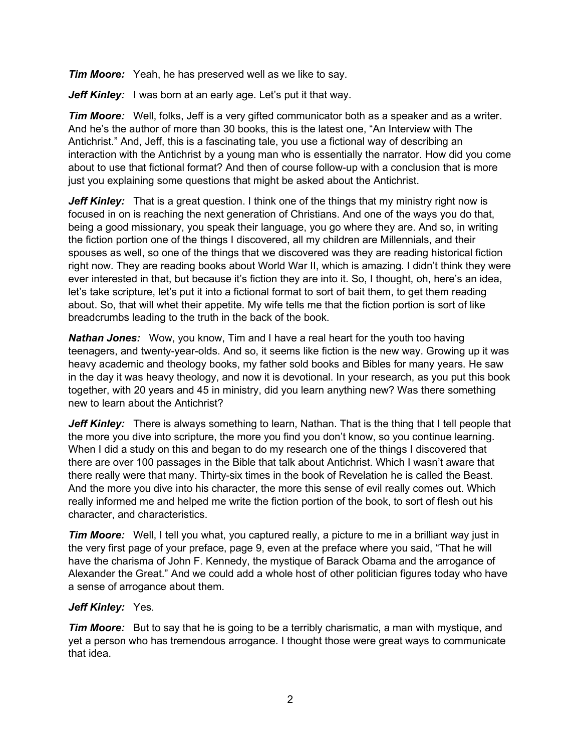*Tim Moore:* Yeah, he has preserved well as we like to say.

*Jeff Kinley:* I was born at an early age. Let's put it that way.

*Tim Moore:* Well, folks, Jeff is a very gifted communicator both as a speaker and as a writer. And he's the author of more than 30 books, this is the latest one, "An Interview with The Antichrist." And, Jeff, this is a fascinating tale, you use a fictional way of describing an interaction with the Antichrist by a young man who is essentially the narrator. How did you come about to use that fictional format? And then of course follow-up with a conclusion that is more just you explaining some questions that might be asked about the Antichrist.

*Jeff Kinley:* That is a great question. I think one of the things that my ministry right now is focused in on is reaching the next generation of Christians. And one of the ways you do that, being a good missionary, you speak their language, you go where they are. And so, in writing the fiction portion one of the things I discovered, all my children are Millennials, and their spouses as well, so one of the things that we discovered was they are reading historical fiction right now. They are reading books about World War II, which is amazing. I didn't think they were ever interested in that, but because it's fiction they are into it. So, I thought, oh, here's an idea, let's take scripture, let's put it into a fictional format to sort of bait them, to get them reading about. So, that will whet their appetite. My wife tells me that the fiction portion is sort of like breadcrumbs leading to the truth in the back of the book.

*Nathan Jones:* Wow, you know, Tim and I have a real heart for the youth too having teenagers, and twenty-year-olds. And so, it seems like fiction is the new way. Growing up it was heavy academic and theology books, my father sold books and Bibles for many years. He saw in the day it was heavy theology, and now it is devotional. In your research, as you put this book together, with 20 years and 45 in ministry, did you learn anything new? Was there something new to learn about the Antichrist?

*Jeff Kinley:* There is always something to learn, Nathan. That is the thing that I tell people that the more you dive into scripture, the more you find you don't know, so you continue learning. When I did a study on this and began to do my research one of the things I discovered that there are over 100 passages in the Bible that talk about Antichrist. Which I wasn't aware that there really were that many. Thirty-six times in the book of Revelation he is called the Beast. And the more you dive into his character, the more this sense of evil really comes out. Which really informed me and helped me write the fiction portion of the book, to sort of flesh out his character, and characteristics.

*Tim Moore:* Well, I tell you what, you captured really, a picture to me in a brilliant way just in the very first page of your preface, page 9, even at the preface where you said, "That he will have the charisma of John F. Kennedy, the mystique of Barack Obama and the arrogance of Alexander the Great." And we could add a whole host of other politician figures today who have a sense of arrogance about them.

## *Jeff Kinley:* Yes.

*Tim Moore:* But to say that he is going to be a terribly charismatic, a man with mystique, and yet a person who has tremendous arrogance. I thought those were great ways to communicate that idea.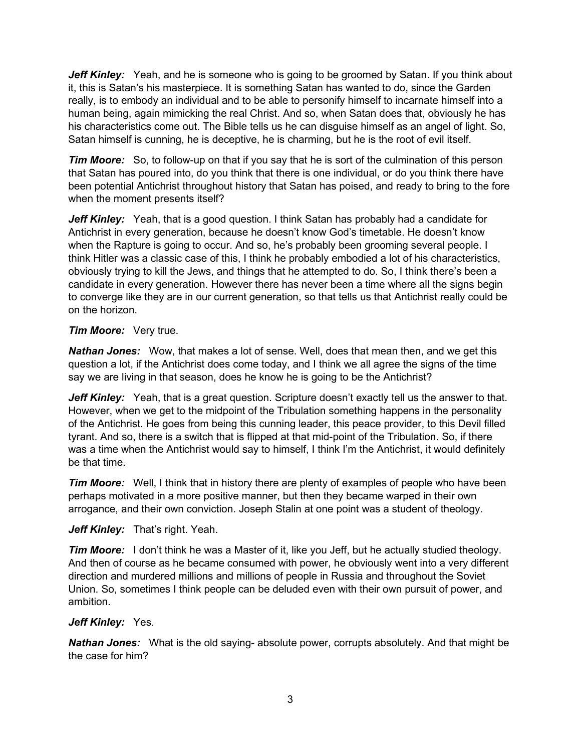**Jeff Kinley:** Yeah, and he is someone who is going to be groomed by Satan. If you think about it, this is Satan's his masterpiece. It is something Satan has wanted to do, since the Garden really, is to embody an individual and to be able to personify himself to incarnate himself into a human being, again mimicking the real Christ. And so, when Satan does that, obviously he has his characteristics come out. The Bible tells us he can disguise himself as an angel of light. So, Satan himself is cunning, he is deceptive, he is charming, but he is the root of evil itself.

*Tim Moore:* So, to follow-up on that if you say that he is sort of the culmination of this person that Satan has poured into, do you think that there is one individual, or do you think there have been potential Antichrist throughout history that Satan has poised, and ready to bring to the fore when the moment presents itself?

Jeff Kinley: Yeah, that is a good question. I think Satan has probably had a candidate for Antichrist in every generation, because he doesn't know God's timetable. He doesn't know when the Rapture is going to occur. And so, he's probably been grooming several people. I think Hitler was a classic case of this, I think he probably embodied a lot of his characteristics, obviously trying to kill the Jews, and things that he attempted to do. So, I think there's been a candidate in every generation. However there has never been a time where all the signs begin to converge like they are in our current generation, so that tells us that Antichrist really could be on the horizon.

## *Tim Moore:* Very true.

*Nathan Jones:* Wow, that makes a lot of sense. Well, does that mean then, and we get this question a lot, if the Antichrist does come today, and I think we all agree the signs of the time say we are living in that season, does he know he is going to be the Antichrist?

*Jeff Kinley:* Yeah, that is a great question. Scripture doesn't exactly tell us the answer to that. However, when we get to the midpoint of the Tribulation something happens in the personality of the Antichrist. He goes from being this cunning leader, this peace provider, to this Devil filled tyrant. And so, there is a switch that is flipped at that mid-point of the Tribulation. So, if there was a time when the Antichrist would say to himself, I think I'm the Antichrist, it would definitely be that time.

*Tim Moore:* Well, I think that in history there are plenty of examples of people who have been perhaps motivated in a more positive manner, but then they became warped in their own arrogance, and their own conviction. Joseph Stalin at one point was a student of theology.

## *Jeff Kinley:* That's right. Yeah.

*Tim Moore:* I don't think he was a Master of it, like you Jeff, but he actually studied theology. And then of course as he became consumed with power, he obviously went into a very different direction and murdered millions and millions of people in Russia and throughout the Soviet Union. So, sometimes I think people can be deluded even with their own pursuit of power, and ambition.

## *Jeff Kinley:* Yes.

*Nathan Jones:* What is the old saying- absolute power, corrupts absolutely. And that might be the case for him?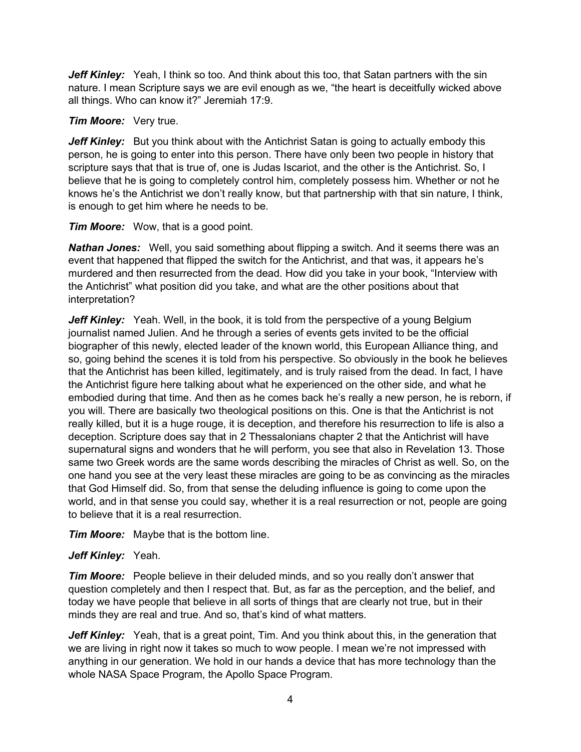Jeff Kinley: Yeah, I think so too. And think about this too, that Satan partners with the sin nature. I mean Scripture says we are evil enough as we, "the heart is deceitfully wicked above all things. Who can know it?" Jeremiah 17:9.

## *Tim Moore:* Very true.

**Jeff Kinley:** But you think about with the Antichrist Satan is going to actually embody this person, he is going to enter into this person. There have only been two people in history that scripture says that that is true of, one is Judas Iscariot, and the other is the Antichrist. So, I believe that he is going to completely control him, completely possess him. Whether or not he knows he's the Antichrist we don't really know, but that partnership with that sin nature, I think, is enough to get him where he needs to be.

## *Tim Moore:* Wow, that is a good point.

*Nathan Jones:* Well, you said something about flipping a switch. And it seems there was an event that happened that flipped the switch for the Antichrist, and that was, it appears he's murdered and then resurrected from the dead. How did you take in your book, "Interview with the Antichrist" what position did you take, and what are the other positions about that interpretation?

*Jeff Kinley:* Yeah. Well, in the book, it is told from the perspective of a young Belgium journalist named Julien. And he through a series of events gets invited to be the official biographer of this newly, elected leader of the known world, this European Alliance thing, and so, going behind the scenes it is told from his perspective. So obviously in the book he believes that the Antichrist has been killed, legitimately, and is truly raised from the dead. In fact, I have the Antichrist figure here talking about what he experienced on the other side, and what he embodied during that time. And then as he comes back he's really a new person, he is reborn, if you will. There are basically two theological positions on this. One is that the Antichrist is not really killed, but it is a huge rouge, it is deception, and therefore his resurrection to life is also a deception. Scripture does say that in 2 Thessalonians chapter 2 that the Antichrist will have supernatural signs and wonders that he will perform, you see that also in Revelation 13. Those same two Greek words are the same words describing the miracles of Christ as well. So, on the one hand you see at the very least these miracles are going to be as convincing as the miracles that God Himself did. So, from that sense the deluding influence is going to come upon the world, and in that sense you could say, whether it is a real resurrection or not, people are going to believe that it is a real resurrection.

*Tim Moore:* Maybe that is the bottom line.

## *Jeff Kinley:* Yeah.

*Tim Moore:* People believe in their deluded minds, and so you really don't answer that question completely and then I respect that. But, as far as the perception, and the belief, and today we have people that believe in all sorts of things that are clearly not true, but in their minds they are real and true. And so, that's kind of what matters.

*Jeff Kinley:* Yeah, that is a great point, Tim. And you think about this, in the generation that we are living in right now it takes so much to wow people. I mean we're not impressed with anything in our generation. We hold in our hands a device that has more technology than the whole NASA Space Program, the Apollo Space Program.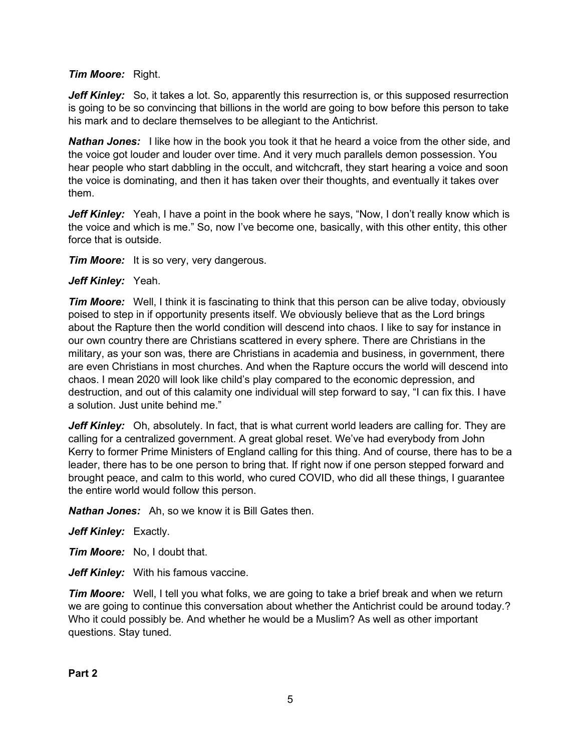## *Tim Moore:* Right.

*Jeff Kinley:* So, it takes a lot. So, apparently this resurrection is, or this supposed resurrection is going to be so convincing that billions in the world are going to bow before this person to take his mark and to declare themselves to be allegiant to the Antichrist.

*Nathan Jones:* I like how in the book you took it that he heard a voice from the other side, and the voice got louder and louder over time. And it very much parallels demon possession. You hear people who start dabbling in the occult, and witchcraft, they start hearing a voice and soon the voice is dominating, and then it has taken over their thoughts, and eventually it takes over them.

Jeff Kinley: Yeah, I have a point in the book where he says, "Now, I don't really know which is the voice and which is me." So, now I've become one, basically, with this other entity, this other force that is outside.

*Tim Moore:* It is so very, very dangerous.

#### *Jeff Kinley:* Yeah.

*Tim Moore:* Well, I think it is fascinating to think that this person can be alive today, obviously poised to step in if opportunity presents itself. We obviously believe that as the Lord brings about the Rapture then the world condition will descend into chaos. I like to say for instance in our own country there are Christians scattered in every sphere. There are Christians in the military, as your son was, there are Christians in academia and business, in government, there are even Christians in most churches. And when the Rapture occurs the world will descend into chaos. I mean 2020 will look like child's play compared to the economic depression, and destruction, and out of this calamity one individual will step forward to say, "I can fix this. I have a solution. Just unite behind me."

*Jeff Kinley:* Oh, absolutely. In fact, that is what current world leaders are calling for. They are calling for a centralized government. A great global reset. We've had everybody from John Kerry to former Prime Ministers of England calling for this thing. And of course, there has to be a leader, there has to be one person to bring that. If right now if one person stepped forward and brought peace, and calm to this world, who cured COVID, who did all these things, I guarantee the entire world would follow this person.

*Nathan Jones:* Ah, so we know it is Bill Gates then.

*Jeff Kinley:* Exactly.

*Tim Moore:* No, I doubt that.

*Jeff Kinley:* With his famous vaccine.

*Tim Moore:* Well, I tell you what folks, we are going to take a brief break and when we return we are going to continue this conversation about whether the Antichrist could be around today.? Who it could possibly be. And whether he would be a Muslim? As well as other important questions. Stay tuned.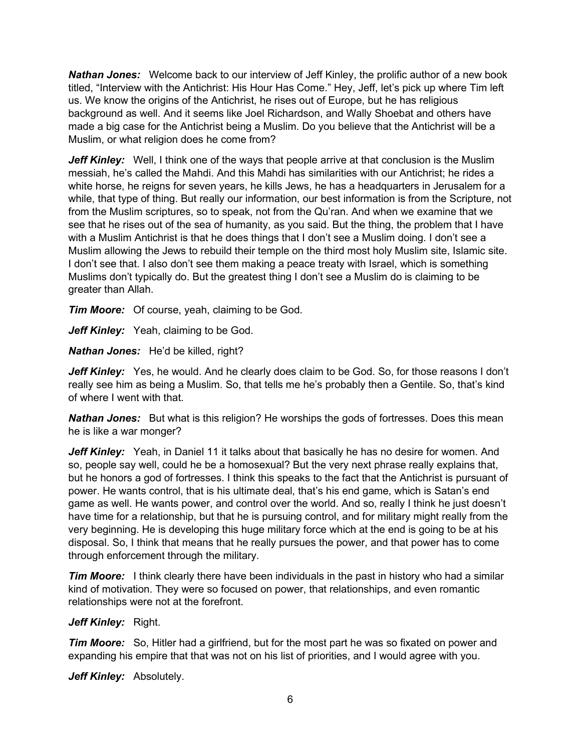*Nathan Jones:* Welcome back to our interview of Jeff Kinley, the prolific author of a new book titled, "Interview with the Antichrist: His Hour Has Come." Hey, Jeff, let's pick up where Tim left us. We know the origins of the Antichrist, he rises out of Europe, but he has religious background as well. And it seems like Joel Richardson, and Wally Shoebat and others have made a big case for the Antichrist being a Muslim. Do you believe that the Antichrist will be a Muslim, or what religion does he come from?

*Jeff Kinley:* Well, I think one of the ways that people arrive at that conclusion is the Muslim messiah, he's called the Mahdi. And this Mahdi has similarities with our Antichrist; he rides a white horse, he reigns for seven years, he kills Jews, he has a headquarters in Jerusalem for a while, that type of thing. But really our information, our best information is from the Scripture, not from the Muslim scriptures, so to speak, not from the Qu'ran. And when we examine that we see that he rises out of the sea of humanity, as you said. But the thing, the problem that I have with a Muslim Antichrist is that he does things that I don't see a Muslim doing. I don't see a Muslim allowing the Jews to rebuild their temple on the third most holy Muslim site, Islamic site. I don't see that. I also don't see them making a peace treaty with Israel, which is something Muslims don't typically do. But the greatest thing I don't see a Muslim do is claiming to be greater than Allah.

*Tim Moore:* Of course, yeah, claiming to be God.

Jeff Kinley: Yeah, claiming to be God.

*Nathan Jones:* He'd be killed, right?

Jeff Kinley: Yes, he would. And he clearly does claim to be God. So, for those reasons I don't really see him as being a Muslim. So, that tells me he's probably then a Gentile. So, that's kind of where I went with that.

**Nathan Jones:** But what is this religion? He worships the gods of fortresses. Does this mean he is like a war monger?

**Jeff Kinley:** Yeah, in Daniel 11 it talks about that basically he has no desire for women. And so, people say well, could he be a homosexual? But the very next phrase really explains that, but he honors a god of fortresses. I think this speaks to the fact that the Antichrist is pursuant of power. He wants control, that is his ultimate deal, that's his end game, which is Satan's end game as well. He wants power, and control over the world. And so, really I think he just doesn't have time for a relationship, but that he is pursuing control, and for military might really from the very beginning. He is developing this huge military force which at the end is going to be at his disposal. So, I think that means that he really pursues the power, and that power has to come through enforcement through the military.

*Tim Moore:* I think clearly there have been individuals in the past in history who had a similar kind of motivation. They were so focused on power, that relationships, and even romantic relationships were not at the forefront.

#### *Jeff Kinley:* Right.

*Tim Moore:* So, Hitler had a girlfriend, but for the most part he was so fixated on power and expanding his empire that that was not on his list of priorities, and I would agree with you.

*Jeff Kinley:* Absolutely.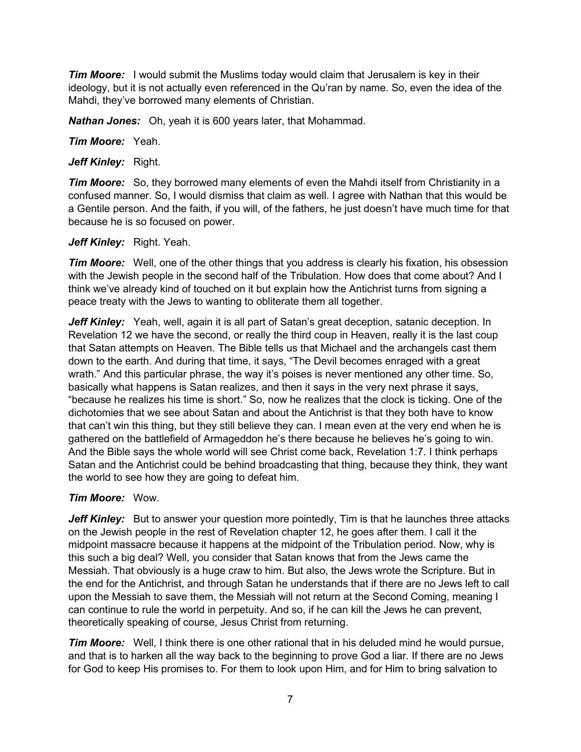*Tim Moore:* I would submit the Muslims today would claim that Jerusalem is key in their ideology, but it is not actually even referenced in the Qu'ran by name. So, even the idea of the Mahdi, they've borrowed many elements of Christian.

*Nathan Jones:* Oh, yeah it is 600 years later, that Mohammad.

*Tim Moore:* Yeah.

*Jeff Kinley:* Right.

*Tim Moore:* So, they borrowed many elements of even the Mahdi itself from Christianity in a confused manner. So, I would dismiss that claim as well. I agree with Nathan that this would be a Gentile person. And the faith, if you will, of the fathers, he just doesn't have much time for that because he is so focused on power.

## *Jeff Kinley:* Right. Yeah.

*Tim Moore:* Well, one of the other things that you address is clearly his fixation, his obsession with the Jewish people in the second half of the Tribulation. How does that come about? And I think we've already kind of touched on it but explain how the Antichrist turns from signing a peace treaty with the Jews to wanting to obliterate them all together.

**Jeff Kinley:** Yeah, well, again it is all part of Satan's great deception, satanic deception. In Revelation 12 we have the second, or really the third coup in Heaven, really it is the last coup that Satan attempts on Heaven. The Bible tells us that Michael and the archangels cast them down to the earth. And during that time, it says, "The Devil becomes enraged with a great wrath." And this particular phrase, the way it's poises is never mentioned any other time. So, basically what happens is Satan realizes, and then it says in the very next phrase it says, "because he realizes his time is short." So, now he realizes that the clock is ticking. One of the dichotomies that we see about Satan and about the Antichrist is that they both have to know that can't win this thing, but they still believe they can. I mean even at the very end when he is gathered on the battlefield of Armageddon he's there because he believes he's going to win. And the Bible says the whole world will see Christ come back, Revelation 1:7. I think perhaps Satan and the Antichrist could be behind broadcasting that thing, because they think, they want the world to see how they are going to defeat him.

## *Tim Moore:* Wow.

*Jeff Kinley:* But to answer your question more pointedly, Tim is that he launches three attacks on the Jewish people in the rest of Revelation chapter 12, he goes after them. I call it the midpoint massacre because it happens at the midpoint of the Tribulation period. Now, why is this such a big deal? Well, you consider that Satan knows that from the Jews came the Messiah. That obviously is a huge craw to him. But also, the Jews wrote the Scripture. But in the end for the Antichrist, and through Satan he understands that if there are no Jews left to call upon the Messiah to save them, the Messiah will not return at the Second Coming, meaning I can continue to rule the world in perpetuity. And so, if he can kill the Jews he can prevent, theoretically speaking of course, Jesus Christ from returning.

*Tim Moore:* Well, I think there is one other rational that in his deluded mind he would pursue, and that is to harken all the way back to the beginning to prove God a liar. If there are no Jews for God to keep His promises to. For them to look upon Him, and for Him to bring salvation to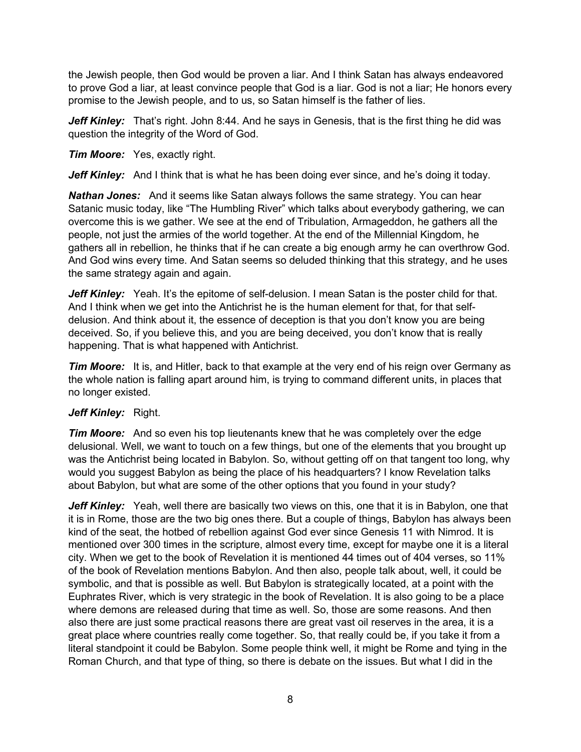the Jewish people, then God would be proven a liar. And I think Satan has always endeavored to prove God a liar, at least convince people that God is a liar. God is not a liar; He honors every promise to the Jewish people, and to us, so Satan himself is the father of lies.

*Jeff Kinley:* That's right. John 8:44. And he says in Genesis, that is the first thing he did was question the integrity of the Word of God.

*Tim Moore:* Yes, exactly right.

*Jeff Kinley:* And I think that is what he has been doing ever since, and he's doing it today.

*Nathan Jones:* And it seems like Satan always follows the same strategy. You can hear Satanic music today, like "The Humbling River" which talks about everybody gathering, we can overcome this is we gather. We see at the end of Tribulation, Armageddon, he gathers all the people, not just the armies of the world together. At the end of the Millennial Kingdom, he gathers all in rebellion, he thinks that if he can create a big enough army he can overthrow God. And God wins every time. And Satan seems so deluded thinking that this strategy, and he uses the same strategy again and again.

Jeff Kinley: Yeah. It's the epitome of self-delusion. I mean Satan is the poster child for that. And I think when we get into the Antichrist he is the human element for that, for that selfdelusion. And think about it, the essence of deception is that you don't know you are being deceived. So, if you believe this, and you are being deceived, you don't know that is really happening. That is what happened with Antichrist.

*Tim Moore:* It is, and Hitler, back to that example at the very end of his reign over Germany as the whole nation is falling apart around him, is trying to command different units, in places that no longer existed.

## *Jeff Kinley:* Right.

*Tim Moore:* And so even his top lieutenants knew that he was completely over the edge delusional. Well, we want to touch on a few things, but one of the elements that you brought up was the Antichrist being located in Babylon. So, without getting off on that tangent too long, why would you suggest Babylon as being the place of his headquarters? I know Revelation talks about Babylon, but what are some of the other options that you found in your study?

*Jeff Kinley:* Yeah, well there are basically two views on this, one that it is in Babylon, one that it is in Rome, those are the two big ones there. But a couple of things, Babylon has always been kind of the seat, the hotbed of rebellion against God ever since Genesis 11 with Nimrod. It is mentioned over 300 times in the scripture, almost every time, except for maybe one it is a literal city. When we get to the book of Revelation it is mentioned 44 times out of 404 verses, so 11% of the book of Revelation mentions Babylon. And then also, people talk about, well, it could be symbolic, and that is possible as well. But Babylon is strategically located, at a point with the Euphrates River, which is very strategic in the book of Revelation. It is also going to be a place where demons are released during that time as well. So, those are some reasons. And then also there are just some practical reasons there are great vast oil reserves in the area, it is a great place where countries really come together. So, that really could be, if you take it from a literal standpoint it could be Babylon. Some people think well, it might be Rome and tying in the Roman Church, and that type of thing, so there is debate on the issues. But what I did in the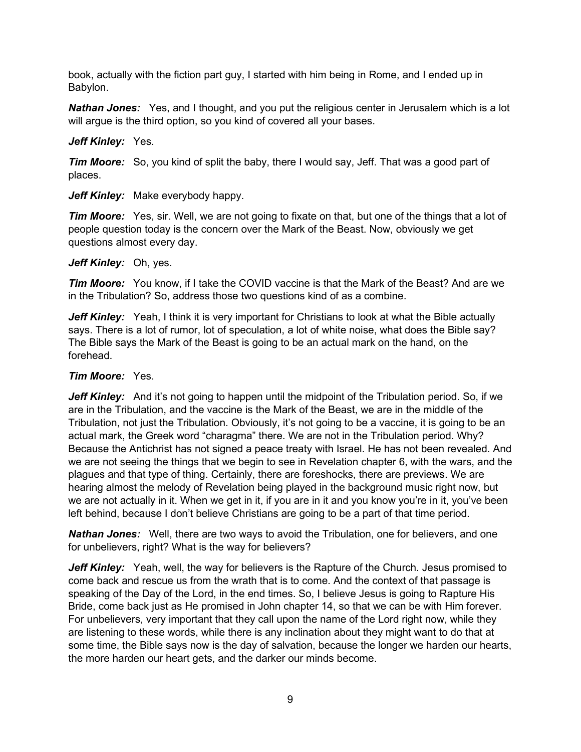book, actually with the fiction part guy, I started with him being in Rome, and I ended up in Babylon.

**Nathan Jones:** Yes, and I thought, and you put the religious center in Jerusalem which is a lot will argue is the third option, so you kind of covered all your bases.

## *Jeff Kinley:* Yes.

*Tim Moore:* So, you kind of split the baby, there I would say, Jeff. That was a good part of places.

*Jeff Kinley:* Make everybody happy.

*Tim Moore:* Yes, sir. Well, we are not going to fixate on that, but one of the things that a lot of people question today is the concern over the Mark of the Beast. Now, obviously we get questions almost every day.

#### *Jeff Kinley:* Oh, yes.

*Tim Moore:* You know, if I take the COVID vaccine is that the Mark of the Beast? And are we in the Tribulation? So, address those two questions kind of as a combine.

*Jeff Kinley:* Yeah, I think it is very important for Christians to look at what the Bible actually says. There is a lot of rumor, lot of speculation, a lot of white noise, what does the Bible say? The Bible says the Mark of the Beast is going to be an actual mark on the hand, on the forehead.

## *Tim Moore:* Yes.

Jeff Kinley: And it's not going to happen until the midpoint of the Tribulation period. So, if we are in the Tribulation, and the vaccine is the Mark of the Beast, we are in the middle of the Tribulation, not just the Tribulation. Obviously, it's not going to be a vaccine, it is going to be an actual mark, the Greek word "charagma" there. We are not in the Tribulation period. Why? Because the Antichrist has not signed a peace treaty with Israel. He has not been revealed. And we are not seeing the things that we begin to see in Revelation chapter 6, with the wars, and the plagues and that type of thing. Certainly, there are foreshocks, there are previews. We are hearing almost the melody of Revelation being played in the background music right now, but we are not actually in it. When we get in it, if you are in it and you know you're in it, you've been left behind, because I don't believe Christians are going to be a part of that time period.

*Nathan Jones:* Well, there are two ways to avoid the Tribulation, one for believers, and one for unbelievers, right? What is the way for believers?

*Jeff Kinley:* Yeah, well, the way for believers is the Rapture of the Church. Jesus promised to come back and rescue us from the wrath that is to come. And the context of that passage is speaking of the Day of the Lord, in the end times. So, I believe Jesus is going to Rapture His Bride, come back just as He promised in John chapter 14, so that we can be with Him forever. For unbelievers, very important that they call upon the name of the Lord right now, while they are listening to these words, while there is any inclination about they might want to do that at some time, the Bible says now is the day of salvation, because the longer we harden our hearts, the more harden our heart gets, and the darker our minds become.